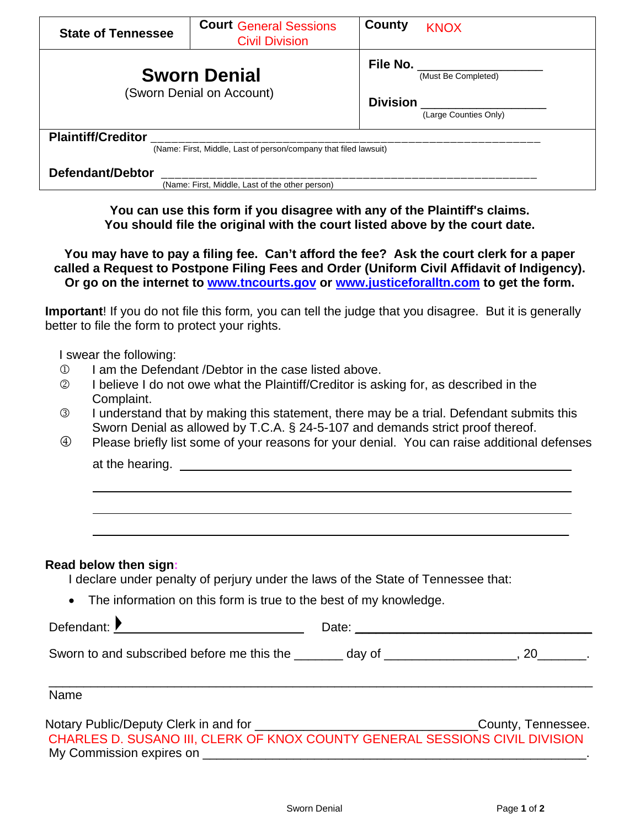| <b>State of Tennessee</b>                                        | <b>Court General Sessions</b><br><b>Civil Division</b> | County<br><b>KNOX</b>                                                     |
|------------------------------------------------------------------|--------------------------------------------------------|---------------------------------------------------------------------------|
| <b>Sworn Denial</b><br>(Sworn Denial on Account)                 |                                                        | File No. ________________<br>(Must Be Completed)                          |
|                                                                  |                                                        | <b>Division</b><br>(Large Counties Only)                                  |
| <b>Plaintiff/Creditor</b>                                        |                                                        |                                                                           |
| (Name: First, Middle, Last of person/company that filed lawsuit) |                                                        |                                                                           |
| Defendant/Debtor                                                 |                                                        |                                                                           |
| (Name: First, Middle, Last of the other person)                  |                                                        |                                                                           |
|                                                                  |                                                        | You can use this form if you disagree with any of the Plaintiff's claims. |

**You should file the original with the court listed above by the court date.**

**You may have to pay a filing fee. Can't afford the fee? Ask the court clerk for a paper called a Request to Postpone Filing Fees and Order (Uniform Civil Affidavit of Indigency). Or go on the internet to [www.tncourts.gov](http://www.tncourts.gov/) or [www.justiceforalltn.com](http://www.justiceforalltn.com/) to get the form.**

**Important**! If you do not file this form*,* you can tell the judge that you disagree. But it is generally better to file the form to protect your rights.

I swear the following:

- **I am the Defendant /Debtor in the case listed above.**
- I believe I do not owe what the Plaintiff/Creditor is asking for, as described in the Complaint.
- I understand that by making this statement, there may be a trial. Defendant submits this Sworn Denial as allowed by T.C.A. § 24-5-107 and demands strict proof thereof.
- Please briefly list some of your reasons for your denial. You can raise additional defenses at the hearing.

## **Read below then sign:**

I declare under penalty of perjury under the laws of the State of Tennessee that:

• The information on this form is true to the best of my knowledge.

Defendant:  $\begin{array}{ccc} \bullet & \bullet & \bullet & \bullet \\ \hline \end{array}$  Date: \_\_\_\_\_\_\_\_\_\_\_\_\_\_\_\_\_\_\_\_\_\_\_\_\_\_\_\_\_\_\_\_\_\_

Sworn to and subscribed before me this the \_\_\_\_\_\_\_ day of \_\_\_\_\_\_\_\_\_\_\_\_\_\_\_\_\_\_, 20

\_\_\_\_\_\_\_\_\_\_\_\_\_\_\_\_\_\_\_\_\_\_\_\_\_\_\_\_\_\_\_\_\_\_\_\_\_\_\_\_\_\_\_\_\_\_\_\_\_\_\_\_\_\_\_\_\_\_\_\_\_\_\_\_\_\_\_\_\_\_\_\_\_\_\_\_\_\_ Name

Notary Public/Deputy Clerk in and for \_\_\_\_\_\_\_\_\_\_\_\_\_\_\_\_\_\_\_\_\_\_\_\_\_\_\_\_\_\_\_\_County, Tennessee. My Commission expires on CHARLES D. SUSANO III, CLERK OF KNOX COUNTY GENERAL SESSIONS CIVIL DIVISION

 $\overline{\phantom{a}}$